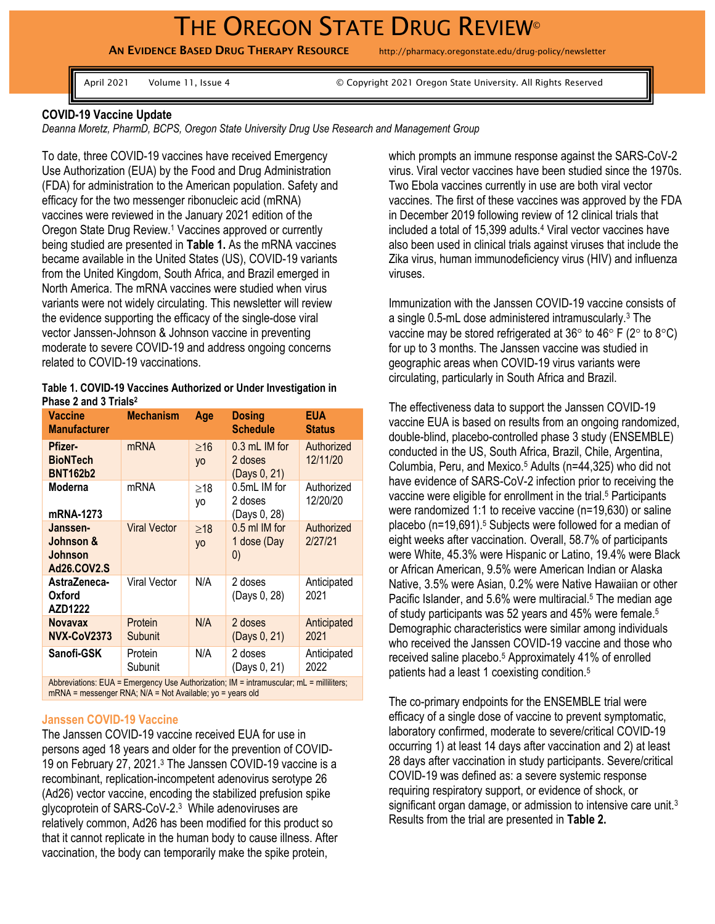# THE OREGON STATE DRUG REVIEW<sup>®</sup>

AN EVIDENCE BASED DRUG THERAPY RESOURCE http://pharmacy.oregonstate.edu/drug-policy/newsletter

April 2021 Volume 11, Issue 4 © Copyright 2021 Oregon State University. All Rights Reserved

## **COVID-19 Vaccine Update**

*Deanna Moretz, PharmD, BCPS, Oregon State University Drug Use Research and Management Group*

To date, three COVID-19 vaccines have received Emergency Use Authorization (EUA) by the Food and Drug Administration (FDA) for administration to the American population. Safety and efficacy for the two messenger ribonucleic acid (mRNA) vaccines were reviewed in the January 2021 edition of the Oregon State Drug Review.<sup>1</sup> Vaccines approved or currently being studied are presented in **Table 1.** As the mRNA vaccines became available in the United States (US), COVID-19 variants from the United Kingdom, South Africa, and Brazil emerged in North America. The mRNA vaccines were studied when virus variants were not widely circulating. This newsletter will review the evidence supporting the efficacy of the single-dose viral vector Janssen-Johnson & Johnson vaccine in preventing moderate to severe COVID-19 and address ongoing concerns related to COVID-19 vaccinations.

#### **Table 1. COVID-19 Vaccines Authorized or Under Investigation in Phase 2 and 3 Trials<sup>2</sup>**

| <b>Vaccine</b><br><b>Manufacturer</b>                                                   | <b>Mechanism</b>    | Age                    | <b>Dosing</b><br><b>Schedule</b>                  | <b>EUA</b><br><b>Status</b> |
|-----------------------------------------------------------------------------------------|---------------------|------------------------|---------------------------------------------------|-----------------------------|
| Pfizer-<br><b>BioNTech</b><br><b>BNT162b2</b>                                           | mRNA                | $\geq$ 16<br><b>yo</b> | $0.3$ mL IM for<br>2 doses<br>(Days 0, 21)        | Authorized<br>12/11/20      |
| Moderna<br>mRNA-1273                                                                    | mRNA                | $\geq$ 18<br>yo        | 0.5mL IM for<br>2 doses<br>(Days 0, 28)           | Authorized<br>12/20/20      |
| Janssen-<br>Johnson &<br><b>Johnson</b><br>Ad26.COV2.S                                  | <b>Viral Vector</b> | $\geq$ 18<br><b>yo</b> | 0.5 ml IM for<br>1 dose (Day<br>$\left( 0\right)$ | Authorized<br>2/27/21       |
| AstraZeneca-<br>Oxford<br>AZD1222                                                       | Viral Vector        | N/A                    | 2 doses<br>(Days 0, 28)                           | Anticipated<br>2021         |
| <b>Novavax</b><br><b>NVX-CoV2373</b>                                                    | Protein<br>Subunit  | N/A                    | 2 doses<br>(Days 0, 21)                           | Anticipated<br>2021         |
| Sanofi-GSK                                                                              | Protein<br>Subunit  | N/A                    | 2 doses<br>(Days 0, 21)                           | Anticipated<br>2022         |
| Abbreviations: EUA = Emergency Use Authorization; IM = intramuscular; mL = milliliters; |                     |                        |                                                   |                             |

mRNA = messenger RNA; N/A = Not Available; yo = years old

#### **Janssen COVID-19 Vaccine**

The Janssen COVID-19 vaccine received EUA for use in persons aged 18 years and older for the prevention of COVID-19 on February 27, 2021. <sup>3</sup> The Janssen COVID-19 vaccine is a recombinant, replication-incompetent adenovirus serotype 26 (Ad26) vector vaccine, encoding the stabilized prefusion spike glycoprotein of SARS-CoV-2. <sup>3</sup> While adenoviruses are relatively common, Ad26 has been modified for this product so that it cannot replicate in the human body to cause illness. After vaccination, the body can temporarily make the spike protein,

which prompts an immune response against the SARS-CoV-2 virus. Viral vector vaccines have been studied since the 1970s. Two Ebola vaccines currently in use are both viral vector vaccines. The first of these vaccines was approved by the FDA in December 2019 following review of 12 clinical trials that included a total of 15,399 adults.<sup>4</sup> Viral vector vaccines have also been used in clinical trials against viruses that include the Zika virus, human immunodeficiency virus (HIV) and influenza viruses.

Immunization with the Janssen COVID-19 vaccine consists of a single 0.5-mL dose administered intramuscularly.<sup>3</sup> The vaccine may be stored refrigerated at  $36^{\circ}$  to  $46^{\circ}$  F ( $2^{\circ}$  to  $8^{\circ}$ C) for up to 3 months. The Janssen vaccine was studied in geographic areas when COVID-19 virus variants were circulating, particularly in South Africa and Brazil.

The effectiveness data to support the Janssen COVID-19 vaccine EUA is based on results from an ongoing randomized, double-blind, placebo-controlled phase 3 study (ENSEMBLE) conducted in the US, South Africa, Brazil, Chile, Argentina, Columbia, Peru, and Mexico. <sup>5</sup> Adults (n=44,325) who did not have evidence of SARS-CoV-2 infection prior to receiving the vaccine were eligible for enrollment in the trial. <sup>5</sup> Participants were randomized 1:1 to receive vaccine (n=19,630) or saline placebo (n=19,691). <sup>5</sup> Subjects were followed for a median of eight weeks after vaccination. Overall, 58.7% of participants were White, 45.3% were Hispanic or Latino, 19.4% were Black or African American, 9.5% were American Indian or Alaska Native, 3.5% were Asian, 0.2% were Native Hawaiian or other Pacific Islander, and 5.6% were multiracial.<sup>5</sup> The median age of study participants was 52 years and 45% were female. 5 Demographic characteristics were similar among individuals who received the Janssen COVID-19 vaccine and those who received saline placebo.<sup>5</sup> Approximately 41% of enrolled patients had a least 1 coexisting condition.<sup>5</sup>

The co-primary endpoints for the ENSEMBLE trial were efficacy of a single dose of vaccine to prevent symptomatic, laboratory confirmed, moderate to severe/critical COVID-19 occurring 1) at least 14 days after vaccination and 2) at least 28 days after vaccination in study participants. Severe/critical COVID-19 was defined as: a severe systemic response requiring respiratory support, or evidence of shock, or significant organ damage, or admission to intensive care unit.<sup>3</sup> Results from the trial are presented in **Table 2.**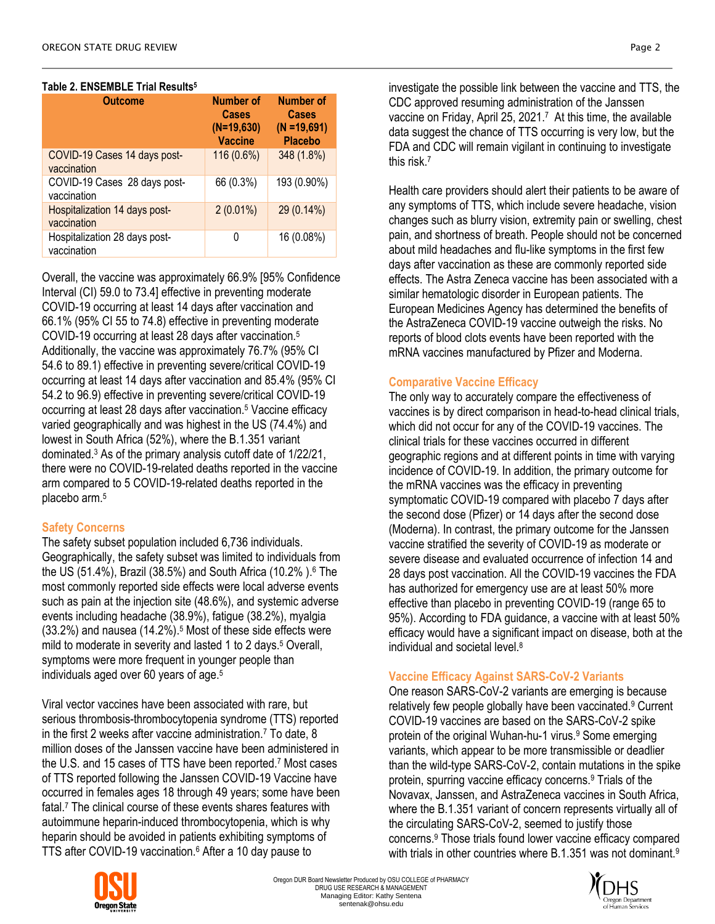## **Table 2. ENSEMBLE Trial Results<sup>5</sup>**

| <b>Outcome</b>                               | <b>Number of</b><br><b>Cases</b><br>$(N=19,630)$<br><b>Vaccine</b> | <b>Number of</b><br><b>Cases</b><br>$(N = 19,691)$<br><b>Placebo</b> |
|----------------------------------------------|--------------------------------------------------------------------|----------------------------------------------------------------------|
| COVID-19 Cases 14 days post-<br>vaccination  | 116 (0.6%)                                                         | 348 (1.8%)                                                           |
| COVID-19 Cases 28 days post-<br>vaccination  | 66 (0.3%)                                                          | 193 (0.90%)                                                          |
| Hospitalization 14 days post-<br>vaccination | $2(0.01\%)$                                                        | 29 (0.14%)                                                           |
| Hospitalization 28 days post-<br>vaccination | 0                                                                  | 16 (0.08%)                                                           |

Overall, the vaccine was approximately 66.9% [95% Confidence Interval (CI) 59.0 to 73.4] effective in preventing moderate COVID-19 occurring at least 14 days after vaccination and 66.1% (95% CI 55 to 74.8) effective in preventing moderate COVID-19 occurring at least 28 days after vaccination.<sup>5</sup> Additionally, the vaccine was approximately 76.7% (95% CI 54.6 to 89.1) effective in preventing severe/critical COVID-19 occurring at least 14 days after vaccination and 85.4% (95% CI 54.2 to 96.9) effective in preventing severe/critical COVID-19 occurring at least 28 days after vaccination.<sup>5</sup> Vaccine efficacy varied geographically and was highest in the US (74.4%) and lowest in South Africa (52%), where the B.1.351 variant dominated.<sup>3</sup> As of the primary analysis cutoff date of 1/22/21, there were no COVID-19-related deaths reported in the vaccine arm compared to 5 COVID-19-related deaths reported in the placebo arm.<sup>5</sup>

## **Safety Concerns**

The safety subset population included 6,736 individuals. Geographically, the safety subset was limited to individuals from the US (51.4%), Brazil (38.5%) and South Africa (10.2% ). <sup>6</sup> The most commonly reported side effects were local adverse events such as pain at the injection site (48.6%), and systemic adverse events including headache (38.9%), fatigue (38.2%), myalgia (33.2%) and nausea (14.2%). <sup>5</sup> Most of these side effects were mild to moderate in severity and lasted 1 to 2 days.<sup>5</sup> Overall, symptoms were more frequent in younger people than individuals aged over 60 years of age. 5

Viral vector vaccines have been associated with rare, but serious thrombosis-thrombocytopenia syndrome (TTS) reported in the first 2 weeks after vaccine administration.<sup>7</sup> To date, 8 million doses of the Janssen vaccine have been administered in the U.S. and 15 cases of TTS have been reported. <sup>7</sup> Most cases of TTS reported following the Janssen COVID-19 Vaccine have occurred in females ages 18 through 49 years; some have been fatal.<sup>7</sup> The clinical course of these events shares features with autoimmune heparin-induced thrombocytopenia, which is why heparin should be avoided in patients exhibiting symptoms of TTS after COVID-19 vaccination.<sup>6</sup> After a 10 day pause to

investigate the possible link between the vaccine and TTS, the CDC approved resuming administration of the Janssen vaccine on Friday, April 25, 2021.<sup>7</sup> At this time, the available data suggest the chance of TTS occurring is very low, but the FDA and CDC will remain vigilant in continuing to investigate this risk<sup>7</sup>

Health care providers should alert their patients to be aware of any symptoms of TTS, which include severe headache, vision changes such as blurry vision, extremity pain or swelling, chest pain, and shortness of breath. People should not be concerned about mild headaches and flu-like symptoms in the first few days after vaccination as these are commonly reported side effects. The Astra Zeneca vaccine has been associated with a similar hematologic disorder in European patients. The European Medicines Agency has determined the benefits of the AstraZeneca COVID-19 vaccine outweigh the risks. No reports of blood clots events have been reported with the mRNA vaccines manufactured by Pfizer and Moderna.

## **Comparative Vaccine Efficacy**

The only way to accurately compare the effectiveness of vaccines is by direct comparison in head-to-head clinical trials, which did not occur for any of the COVID-19 vaccines. The clinical trials for these vaccines occurred in different geographic regions and at different points in time with varying incidence of COVID-19. In addition, the primary outcome for the mRNA vaccines was the efficacy in preventing symptomatic COVID-19 compared with placebo 7 days after the second dose (Pfizer) or 14 days after the second dose (Moderna). In contrast, the primary outcome for the Janssen vaccine stratified the severity of COVID-19 as moderate or severe disease and evaluated occurrence of infection 14 and 28 days post vaccination. All the COVID-19 vaccines the FDA has authorized for emergency use are at least 50% more effective than placebo in preventing COVID-19 (range 65 to 95%). According to FDA guidance, a vaccine with at least 50% efficacy would have a significant impact on disease, both at the individual and societal level.<sup>8</sup>

## **Vaccine Efficacy Against SARS-CoV-2 Variants**

One reason SARS-CoV-2 variants are emerging is because relatively few people globally have been vaccinated.<sup>9</sup> Current COVID-19 vaccines are based on the SARS-CoV-2 spike protein of the original Wuhan-hu-1 virus. <sup>9</sup> Some emerging variants, which appear to be more transmissible or deadlier than the wild-type SARS-CoV-2, contain mutations in the spike protein, spurring vaccine efficacy concerns.<sup>9</sup> Trials of the Novavax, Janssen, and AstraZeneca vaccines in South Africa, where the B.1.351 variant of concern represents virtually all of the circulating SARS-CoV-2, seemed to justify those concerns. <sup>9</sup> Those trials found lower vaccine efficacy compared with trials in other countries where B.1.351 was not dominant.<sup>9</sup>



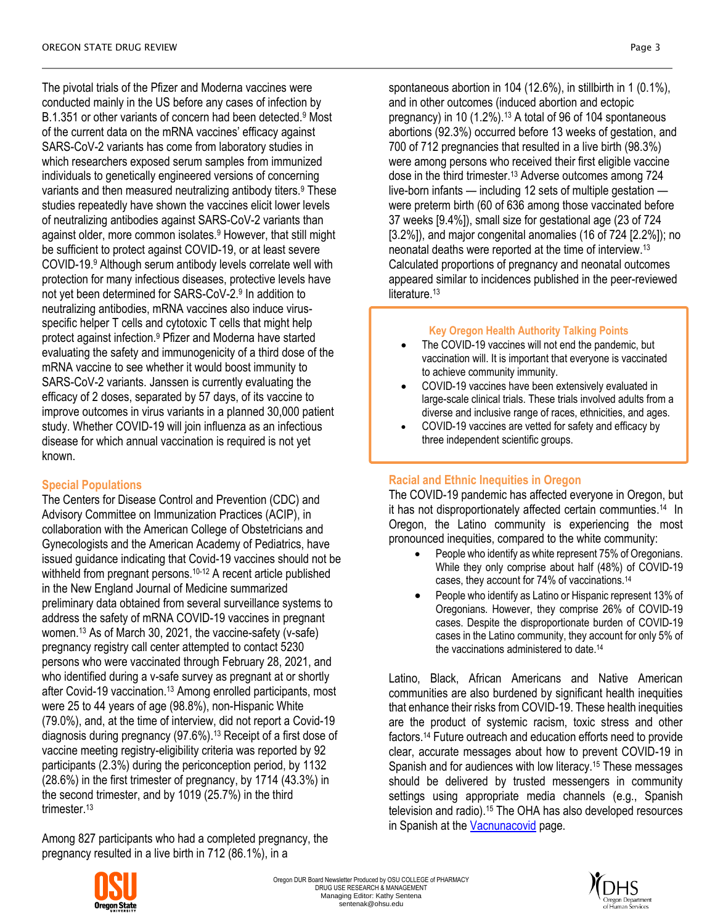The pivotal trials of the Pfizer and Moderna vaccines were conducted mainly in the US before any cases of infection by B.1.351 or other variants of concern had been detected.<sup>9</sup> Most of the current data on the mRNA vaccines' efficacy against SARS-CoV-2 variants has come from laboratory studies in which researchers exposed serum samples from immunized individuals to genetically engineered versions of concerning variants and then measured neutralizing antibody titers.<sup>9</sup> These studies repeatedly have shown the vaccines elicit lower levels of neutralizing antibodies against SARS-CoV-2 variants than against older, more common isolates.<sup>9</sup> However, that still might be sufficient to protect against COVID-19, or at least severe COVID-19.<sup>9</sup> Although serum antibody levels correlate well with protection for many infectious diseases, protective levels have not yet been determined for SARS-CoV-2.<sup>9</sup> In addition to neutralizing antibodies, mRNA vaccines also induce virusspecific helper T cells and cytotoxic T cells that might help protect against infection. <sup>9</sup> Pfizer and Moderna have started evaluating the safety and immunogenicity of a third dose of the mRNA vaccine to see whether it would boost immunity to SARS-CoV-2 variants. Janssen is currently evaluating the efficacy of 2 doses, separated by 57 days, of its vaccine to improve outcomes in virus variants in a planned 30,000 patient study. Whether COVID-19 will join influenza as an infectious disease for which annual vaccination is required is not yet known.

# **Special Populations**

The Centers for Disease Control and Prevention (CDC) and Advisory Committee on Immunization Practices (ACIP), in collaboration with the American College of Obstetricians and Gynecologists and the American Academy of Pediatrics, have issued guidance indicating that Covid-19 vaccines should not be withheld from pregnant persons.<sup>10-12</sup> A recent article published in the New England Journal of Medicine summarized preliminary data obtained from several surveillance systems to address the safety of mRNA COVID-19 vaccines in pregnant women.<sup>13</sup> As of March 30, 2021, the vaccine-safety (v-safe) pregnancy registry call center attempted to contact 5230 persons who were vaccinated through February 28, 2021, and who identified during a v-safe survey as pregnant at or shortly after Covid-19 vaccination.<sup>13</sup> Among enrolled participants, most were 25 to 44 years of age (98.8%), non-Hispanic White (79.0%), and, at the time of interview, did not report a Covid-19 diagnosis during pregnancy (97.6%). <sup>13</sup> Receipt of a first dose of vaccine meeting registry-eligibility criteria was reported by 92 participants (2.3%) during the periconception period, by 1132 (28.6%) in the first trimester of pregnancy, by 1714 (43.3%) in the second trimester, and by 1019 (25.7%) in the third trimester. 13

Among 827 participants who had a completed pregnancy, the pregnancy resulted in a live birth in 712 (86.1%), in a

spontaneous abortion in 104 (12.6%), in stillbirth in 1 (0.1%), and in other outcomes (induced abortion and ectopic pregnancy) in 10 (1.2%).<sup>13</sup> A total of 96 of 104 spontaneous abortions (92.3%) occurred before 13 weeks of gestation, and 700 of 712 pregnancies that resulted in a live birth (98.3%) were among persons who received their first eligible vaccine dose in the third trimester.<sup>13</sup> Adverse outcomes among 724 live-born infants — including 12 sets of multiple gestation were preterm birth (60 of 636 among those vaccinated before 37 weeks [9.4%]), small size for gestational age (23 of 724 [3.2%]), and major congenital anomalies (16 of 724 [2.2%]); no neonatal deaths were reported at the time of interview. 13 Calculated proportions of pregnancy and neonatal outcomes appeared similar to incidences published in the peer-reviewed literature.<sup>13</sup>

# **Key Oregon Health Authority Talking Points**

- The COVID-19 vaccines will not end the pandemic, but vaccination will. It is important that everyone is vaccinated to achieve community immunity.
- COVID-19 vaccines have been extensively evaluated in large-scale clinical trials. These trials involved adults from a diverse and inclusive range of races, ethnicities, and ages.
- COVID-19 vaccines are vetted for safety and efficacy by three independent scientific groups.

# **Racial and Ethnic Inequities in Oregon**

The COVID-19 pandemic has affected everyone in Oregon, but it has not disproportionately affected certain communties. <sup>14</sup> In Oregon, the Latino community is experiencing the most pronounced inequities, compared to the white community:

- People who identify as white represent 75% of Oregonians. While they only comprise about half (48%) of COVID-19 cases, they account for 74% of vaccinations.<sup>14</sup>
- People who identify as Latino or Hispanic represent 13% of Oregonians. However, they comprise 26% of COVID-19 cases. Despite the disproportionate burden of COVID-19 cases in the Latino community, they account for only 5% of the vaccinations administered to date.<sup>14</sup>

Latino, Black, African Americans and Native American communities are also burdened by significant health inequities that enhance their risks from COVID-19. These health inequities are the product of systemic racism, toxic stress and other factors.<sup>14</sup> Future outreach and education efforts need to provide clear, accurate messages about how to prevent COVID-19 in Spanish and for audiences with low literacy.<sup>15</sup> These messages should be delivered by trusted messengers in community settings using appropriate media channels (e.g., Spanish television and radio).<sup>15</sup> The OHA has also developed resources in Spanish at the **Vacnunacovid** page.